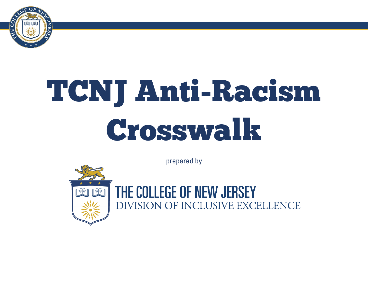

# TCNJ Anti-Racism Crosswalk

prepared by



THE COLLEGE OF NEW JERSEY DIVISION OF INCLUSIVE EXCELLENCE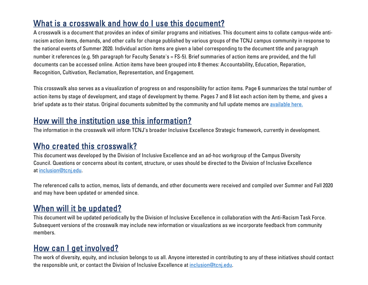## What is a crosswalk and how do I use this document?

A crosswalk is a document that provides an index of similar programs and initiatives. This document aims to collate campus-wide antiracism action items, demands, and other calls for change published by various groups of the TCNJ campus community in response to the national events of Summer 2020. Individual action items are given a label corresponding to the document title and paragraph number it references (e.g. 5th paragraph for Faculty Senate's = FS-5). Brief summaries of action items are provided, and the full documents can be accessed online. Action items have been grouped into 8 themes: Accountability, Education, Reparation, Recognition, Cultivation, Reclamation, Representation, and Engagement.

This crosswalk also serves as a visualization of progress on and responsibility for action items. Page 6 summarizes the total number of action items by stage of development, and stage of development by theme. Pages 7 and 8 list each action item by theme, and gives a brief update as to their status. Original documents submitted by the community and full update memos are [available here.](https://diversity.tcnj.edu/anti-racism-crosswalk-updates/)

#### How will the institution use this information?

The information in the crosswalk will inform TCNJ's broader Inclusive Excellence Strategic framework, currently in development.

#### Who created this crosswalk?

This document was developed by the Division of Inclusive Excellence and an ad-hoc workgroup of the Campus Diversity Council. Questions or concerns about its content, structure, or uses should be directed to the Division of Inclusive Excellence at [inclusion@tcnj.edu.](mailto:inclusion@tcnj.edu)

The referenced calls to action, memos, lists of demands, and other documents were received and compiled over Summer and Fall 2020 and may have been updated or amended since.

## When will it be updated?

This document will be updated periodically by the Division of Inclusive Excellence in collaboration with the Anti-Racism Task Force. Subsequent versions of the crosswalk may include new information or visualizations as we incorporate feedback from community members.

## How can I get involved?

The work of diversity, equity, and inclusion belongs to us all. Anyone interested in contributing to any of these initiatives should contact the responsible unit, or contact the Division of Inclusive Excellence at [inclusion@tcnj.edu.](mailto:inclusion@tcnj.edu)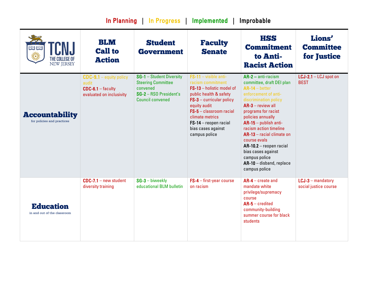| In Planning   In Progress  <br>Implemented  <br>Improbable |                                                                                       |                                                                                                                        |                                                                                                                                                                                                                                                                     |                                                                                                                                                                                                                                                                                                                                                                                                                  |                                                  |  |  |
|------------------------------------------------------------|---------------------------------------------------------------------------------------|------------------------------------------------------------------------------------------------------------------------|---------------------------------------------------------------------------------------------------------------------------------------------------------------------------------------------------------------------------------------------------------------------|------------------------------------------------------------------------------------------------------------------------------------------------------------------------------------------------------------------------------------------------------------------------------------------------------------------------------------------------------------------------------------------------------------------|--------------------------------------------------|--|--|
| CN.J<br>曲曲<br>THE COLLEGE OF<br><b>NEW JERSEY</b>          | <b>BLM</b><br><b>Call to</b><br><b>Action</b>                                         | <b>Student</b><br><b>Government</b>                                                                                    | <b>Faculty</b><br><b>Senate</b>                                                                                                                                                                                                                                     | <b>HSS</b><br><b>Commitment</b><br>to Anti-<br><b>Racist Action</b>                                                                                                                                                                                                                                                                                                                                              | <b>Lions'</b><br><b>Committee</b><br>for Justice |  |  |
| <b>Accountability</b><br>for policies and practices        | $CDC-9.1$ – equity policy<br>audit<br>$CDC-6.1 - faculty$<br>evaluated on inclusivity | SG-1 - Student Diversity<br><b>Steering Committee</b><br>convened<br>SG-2 - RSO President's<br><b>Council convened</b> | $FS-11 - visible anti-$<br>racism commitment<br>FS-13 - holistic model of<br>public health & safety<br>$FS-3$ – curricular policy<br>equity audit<br>$FS-5$ - classroom racial<br>climate metrics<br>$FS-14$ – reopen racial<br>bias cases against<br>campus police | $AR-2 - anti-racism$<br>committee, draft DEI plan<br>$AR-14 - better$<br>enforcement of anti-<br>discrimination policy<br>$AR-3$ – review all<br>programs for racist<br>policies annually<br>$AR-15$ – publish anti-<br>racism action timeline<br>$AR-13$ – racial climate on<br>course evals<br>$AR-10.2 - reopen$ racial<br>bias cases against<br>campus police<br>$AR-10$ – disband, replace<br>campus police | LCJ-2.1 - LCJ spot on<br><b>BEST</b>             |  |  |
| <b>Education</b><br>in and out of the classroom            | $CDC-7.1$ – new student<br>diversity training                                         | $SG-3$ – biweekly<br>educational BLM bulletin                                                                          | $FS-4$ – first-year course<br>on racism                                                                                                                                                                                                                             | $AR-4$ - create and<br>mandate white<br>privilege/supremacy<br>course<br>$AR-5$ – credited<br>community-building<br>summer course for black<br>students                                                                                                                                                                                                                                                          | $LCJ-3$ - mandatory<br>social justice course     |  |  |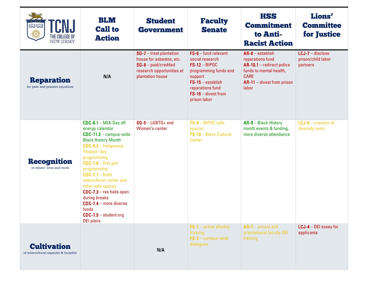| ed ed<br>鱳<br>THE COLLEGE OF<br><b>NEW JERSEY</b>          | BLM<br><b>Call to</b><br><b>Action</b>                                                                                                                                                                                                                                                                                                                                                                         | <b>Student</b><br><b>Government</b>                                                                                            | <b>Faculty</b><br><b>Senate</b>                                                                                                                                                    | <b>HSS</b><br><b>Commitment</b><br>to Anti-<br><b>Racist Action</b>                                                                                      | <b>Lions'</b><br><b>Committee</b><br>for Justice     |
|------------------------------------------------------------|----------------------------------------------------------------------------------------------------------------------------------------------------------------------------------------------------------------------------------------------------------------------------------------------------------------------------------------------------------------------------------------------------------------|--------------------------------------------------------------------------------------------------------------------------------|------------------------------------------------------------------------------------------------------------------------------------------------------------------------------------|----------------------------------------------------------------------------------------------------------------------------------------------------------|------------------------------------------------------|
| <b>Reparation</b><br>for past and present injustices       | N/A                                                                                                                                                                                                                                                                                                                                                                                                            | SG-7 - treat plantation<br>house for asbestos, etc.<br>$SG-8$ – paid/credited<br>research opportunities at<br>plantation house | $FS-6$ – fund relevant<br>social research<br>$FS-12-BIPOC$<br>programming funds and<br>support<br>$FS-15 - establish$<br>reparations fund<br>$FS-16$ – divest from<br>prison labor | $AR-8$ – establish<br>reparations fund<br>$AR-10.1 -$ redirect police<br>funds to mental health,<br><b>CARE</b><br>$AR-11$ – divest from prison<br>labor | $LCJ-7$ – disclose<br>prison/child labor<br>partners |
| <b>Recognition</b><br>of others' lives and work            | $CDC-8.1 - MLK$ Day off<br>energy calendar<br>$CDC-11.2 - campus-wide$<br><b>Black History Month</b><br>$CDC-8.2 - Indigenous$<br>Peoples' day<br>programming<br>$CDC-7.6$ - first gen<br>programming<br>$CDC-7.7 - build$<br>intercultural center and<br>other safe spaces<br>$CDC-7.3$ – res halls open<br>during breaks<br>$CDC-7.4$ – more diverse<br>foods<br>$CDC-7.5$ - student org<br><b>DEI</b> plans | $SG-5 - LGBTQ+$ and<br>Women's center                                                                                          | FS-9 - BIPOC safe<br>spaces<br>FS-10 - Black Cultural<br><b>Center</b>                                                                                                             | AR-9 - Black History<br>month events & funding,<br>more diverse attendance                                                                               | $LCJ-5$ – creation of<br>diversity room              |
| <b>Cultivation</b><br>of intercultural capacity & humility |                                                                                                                                                                                                                                                                                                                                                                                                                | N/A                                                                                                                            | $FS-1$ – active allyship<br>training<br>$FS-2$ - campus-wide<br>dialogues                                                                                                          | $AR-7$ – annual and<br>orientational faculty DEI<br>training                                                                                             | $LCJ-4 - DEI$ essay for<br>applicants                |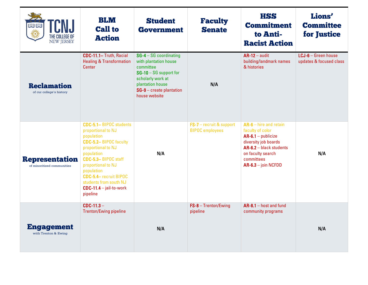| <b>TCNJ</b><br>THE COLLEGE OF<br><b>NEW JERSEY</b>  | <b>BLM</b><br><b>Call to</b><br><b>Action</b>                                                                                                                                                                                                                                                        | <b>Student</b><br><b>Government</b>                                                                                                                                              | <b>Faculty</b><br><b>Senate</b>                    | <b>HSS</b><br><b>Commitment</b><br>to Anti-<br><b>Racist Action</b>                                                                                                                 | Lions'<br><b>Committee</b><br>for Justice      |
|-----------------------------------------------------|------------------------------------------------------------------------------------------------------------------------------------------------------------------------------------------------------------------------------------------------------------------------------------------------------|----------------------------------------------------------------------------------------------------------------------------------------------------------------------------------|----------------------------------------------------|-------------------------------------------------------------------------------------------------------------------------------------------------------------------------------------|------------------------------------------------|
| <b>Reclamation</b><br>of cur college's history      | CDC-11.1- Truth, Racial<br><b>Healing &amp; Transformation</b><br><b>Center</b>                                                                                                                                                                                                                      | $SG-4 - SG$ coordinating<br>with plantation house<br>committee<br>$SG-10 - SG$ support for<br>scholarly work at<br>plantation house<br>SG-9 - create plantation<br>house website | N/A                                                | $AR-12 - audit$<br>building/landmark names<br>& histories                                                                                                                           | LCJ-6 - Green house<br>updates & focused class |
| <b>Representation</b><br>of minoritized communities | <b>CDC-5.1-BIPOC students</b><br>proportional to NJ<br>population<br><b>CDC-5.2-BIPOC faculty</b><br>proportional to NJ<br>population<br>CDC-5.3-BIPOC staff<br>proportional to NJ<br>population<br><b>CDC-5.4- recruit BIPOC</b><br>students from south NJ<br>$CDC-11.4 - jail-to-word$<br>pipeline | N/A                                                                                                                                                                              | FS-7 - recruit & support<br><b>BIPOC</b> employees | $AR-6$ – hire and retain<br>faculty of color<br>$AR-6.1 - publicize$<br>diversity job boards<br>AR-6.2 - black students<br>on faculty search<br>committees<br>$AR-6.3 - join NCFDD$ | N/A                                            |
| <b>Engagement</b><br>with Trenton & Ewing           | $CDC-11.3 -$<br><b>Trenton/Ewing pipeline</b>                                                                                                                                                                                                                                                        | N/A                                                                                                                                                                              | $FS-8 - Trenton/Ewing$<br>pipeline                 | $AR-8.1 - host$ and fund<br>community programs                                                                                                                                      | N/A                                            |